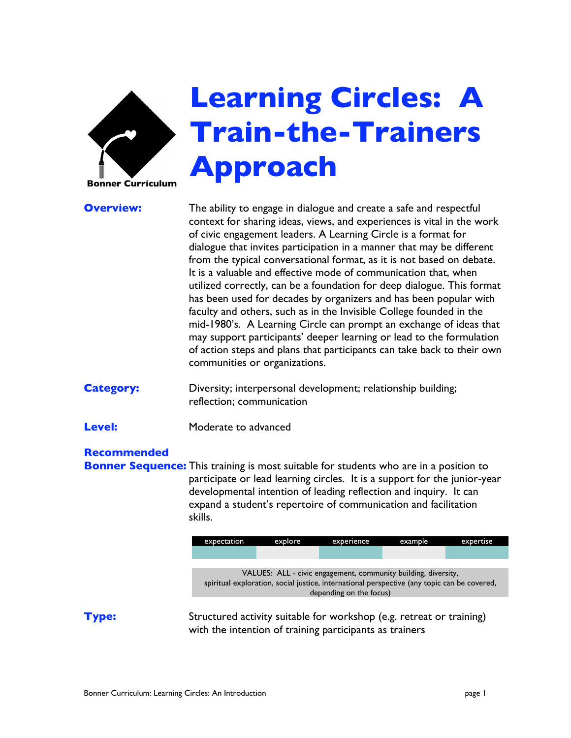

# **Learning Circles: A Train-the-Trainers Approach**

**Overview:** The ability to engage in dialogue and create a safe and respectful context for sharing ideas, views, and experiences is vital in the work of civic engagement leaders. A Learning Circle is a format for dialogue that invites participation in a manner that may be different from the typical conversational format, as it is not based on debate. It is a valuable and effective mode of communication that, when utilized correctly, can be a foundation for deep dialogue. This format has been used for decades by organizers and has been popular with faculty and others, such as in the Invisible College founded in the mid-1980's. A Learning Circle can prompt an exchange of ideas that may support participants' deeper learning or lead to the formulation of action steps and plans that participants can take back to their own communities or organizations.

**Category:** Diversity; interpersonal development; relationship building; reflection; communication

**Level:** Moderate to advanced

#### **Recommended**

**Bonner Sequence:** This training is most suitable for students who are in a position to participate or lead learning circles. It is a support for the junior-year developmental intention of leading reflection and inquiry. It can expand a student's repertoire of communication and facilitation skills.

| expectation                                                                                 | explore | experience | example | expertise |
|---------------------------------------------------------------------------------------------|---------|------------|---------|-----------|
|                                                                                             |         |            |         |           |
|                                                                                             |         |            |         |           |
| VALUES: ALL - civic engagement, community building, diversity,                              |         |            |         |           |
| spiritual exploration, social justice, international perspective (any topic can be covered, |         |            |         |           |
| depending on the focus)                                                                     |         |            |         |           |

**Type:** Structured activity suitable for workshop (e.g. retreat or training) with the intention of training participants as trainers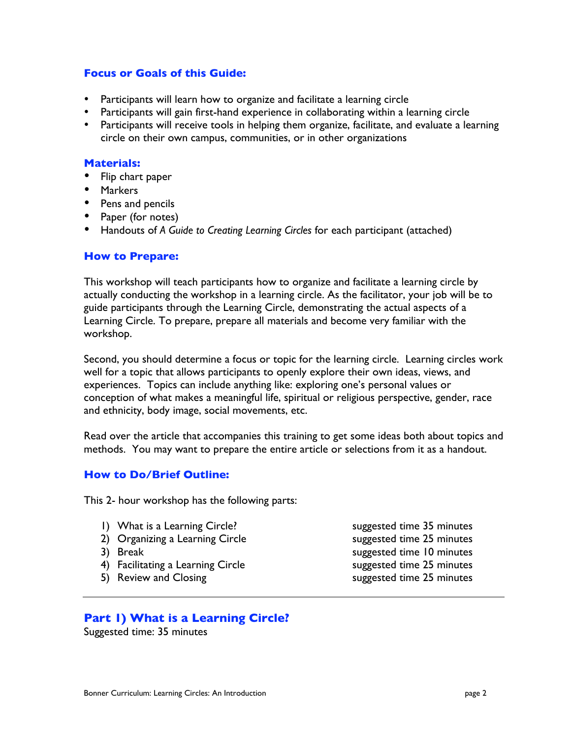#### **Focus or Goals of this Guide:**

Participants will learn how to organize and facilitate a learning circle Participants will gain first-hand experience in collaborating within a learning circle Participants will receive tools in helping them organize, facilitate, and evaluate a learning circle on their own campus, communities, or in other organizations

#### **Materials:**

Flip chart paper **Markers** Pens and pencils Paper (for notes) Handouts of *A Guide to Creating Learning Circles* for each participant (attached)

#### **How to Prepare:**

This workshop will teach participants how to organize and facilitate a learning circle by actually conducting the workshop in a learning circle. As the facilitator, your job will be to guide participants through the Learning Circle, demonstrating the actual aspects of a Learning Circle. To prepare, prepare all materials and become very familiar with the workshop.

Second, you should determine a focus or topic for the learning circle. Learning circles work well for a topic that allows participants to openly explore their own ideas, views, and experiences. Topics can include anything like: exploring one's personal values or conception of what makes a meaningful life, spiritual or religious perspective, gender, race and ethnicity, body image, social movements, etc.

Read over the article that accompanies this training to get some ideas both about topics and methods. You may want to prepare the entire article or selections from it as a handout.

#### **How to Do/Brief Outline:**

This 2- hour workshop has the following parts:

- 1) What is a Learning Circle? Suppose the suggested time 35 minutes
- 2) Organizing a Learning Circle suggested time 25 minutes
- 
- 4) Facilitating a Learning Circle summary suggested time 25 minutes
- 
- 3) Break suggested time 10 minutes 5) Review and Closing summary suggested time 25 minutes

#### **Part 1) What is a Learning Circle?**

Suggested time: 35 minutes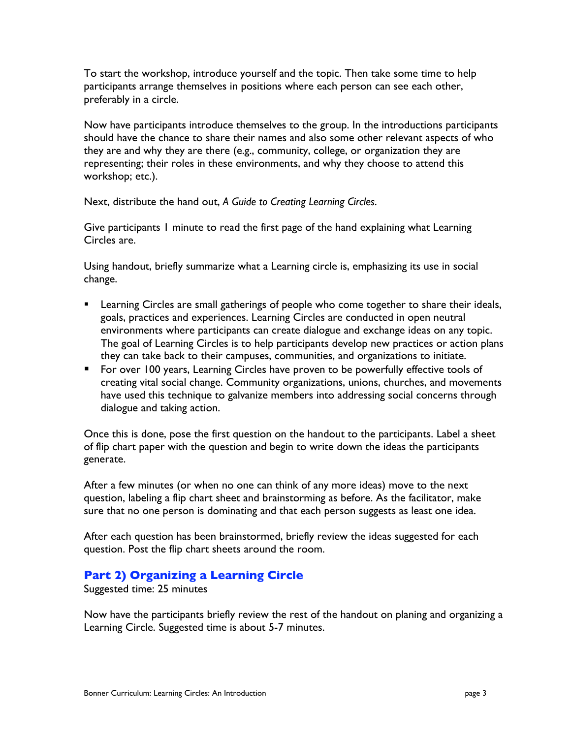To start the workshop, introduce yourself and the topic. Then take some time to help participants arrange themselves in positions where each person can see each other, preferably in a circle.

Now have participants introduce themselves to the group. In the introductions participants should have the chance to share their names and also some other relevant aspects of who they are and why they are there (e.g., community, college, or organization they are representing; their roles in these environments, and why they choose to attend this workshop; etc.).

Next, distribute the hand out, *A Guide to Creating Learning Circles*.

Give participants 1 minute to read the first page of the hand explaining what Learning Circles are.

Using handout, briefly summarize what a Learning circle is, emphasizing its use in social change.

- **EXECT** Learning Circles are small gatherings of people who come together to share their ideals, goals, practices and experiences. Learning Circles are conducted in open neutral environments where participants can create dialogue and exchange ideas on any topic. The goal of Learning Circles is to help participants develop new practices or action plans they can take back to their campuses, communities, and organizations to initiate.
- **For over 100 years, Learning Circles have proven to be powerfully effective tools of** creating vital social change. Community organizations, unions, churches, and movements have used this technique to galvanize members into addressing social concerns through dialogue and taking action.

Once this is done, pose the first question on the handout to the participants. Label a sheet of flip chart paper with the question and begin to write down the ideas the participants generate.

After a few minutes (or when no one can think of any more ideas) move to the next question, labeling a flip chart sheet and brainstorming as before. As the facilitator, make sure that no one person is dominating and that each person suggests as least one idea.

After each question has been brainstormed, briefly review the ideas suggested for each question. Post the flip chart sheets around the room.

### **Part 2) Organizing a Learning Circle**

Suggested time: 25 minutes

Now have the participants briefly review the rest of the handout on planing and organizing a Learning Circle. Suggested time is about 5-7 minutes.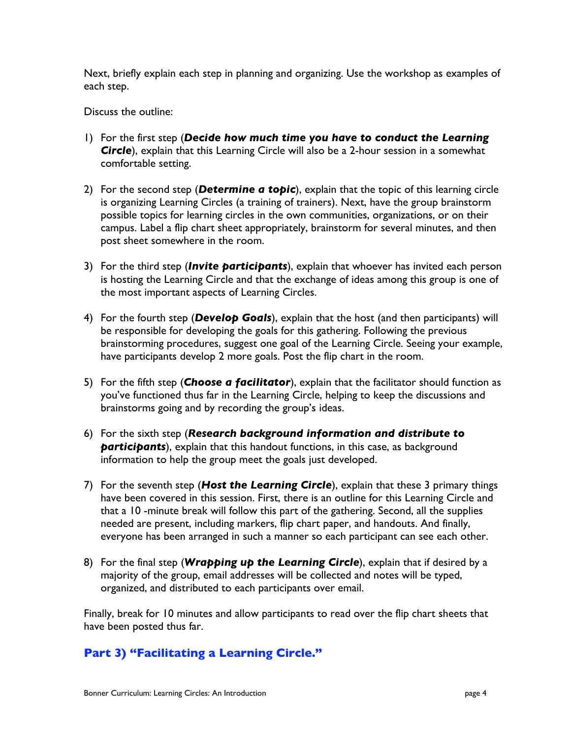Next, briefly explain each step in planning and organizing. Use the workshop as examples of each step.

Discuss the outline:

- 1) For the first step (*Decide how much time you have to conduct the Learning Circle*), explain that this Learning Circle will also be a 2-hour session in a somewhat comfortable setting.
- 2) For the second step (*Determine a topic*), explain that the topic of this learning circle is organizing Learning Circles (a training of trainers). Next, have the group brainstorm possible topics for learning circles in the own communities, organizations, or on their campus. Label a flip chart sheet appropriately, brainstorm for several minutes, and then post sheet somewhere in the room.
- 3) For the third step (*Invite participants*), explain that whoever has invited each person is hosting the Learning Circle and that the exchange of ideas among this group is one of the most important aspects of Learning Circles.
- 4) For the fourth step (*Develop Goals*), explain that the host (and then participants) will be responsible for developing the goals for this gathering. Following the previous brainstorming procedures, suggest one goal of the Learning Circle. Seeing your example, have participants develop 2 more goals. Post the flip chart in the room.
- 5) For the fifth step (*Choose a facilitator*), explain that the facilitator should function as you've functioned thus far in the Learning Circle, helping to keep the discussions and brainstorms going and by recording the group's ideas.
- 6) For the sixth step (*Research background information and distribute to participants*), explain that this handout functions, in this case, as background information to help the group meet the goals just developed.
- 7) For the seventh step (*Host the Learning Circle*), explain that these 3 primary things have been covered in this session. First, there is an outline for this Learning Circle and that a 10 -minute break will follow this part of the gathering. Second, all the supplies needed are present, including markers, flip chart paper, and handouts. And finally, everyone has been arranged in such a manner so each participant can see each other.
- 8) For the final step (*Wrapping up the Learning Circle*), explain that if desired by a majority of the group, email addresses will be collected and notes will be typed, organized, and distributed to each participants over email.

Finally, break for 10 minutes and allow participants to read over the flip chart sheets that have been posted thus far.

### **Part 3) "Facilitating a Learning Circle."**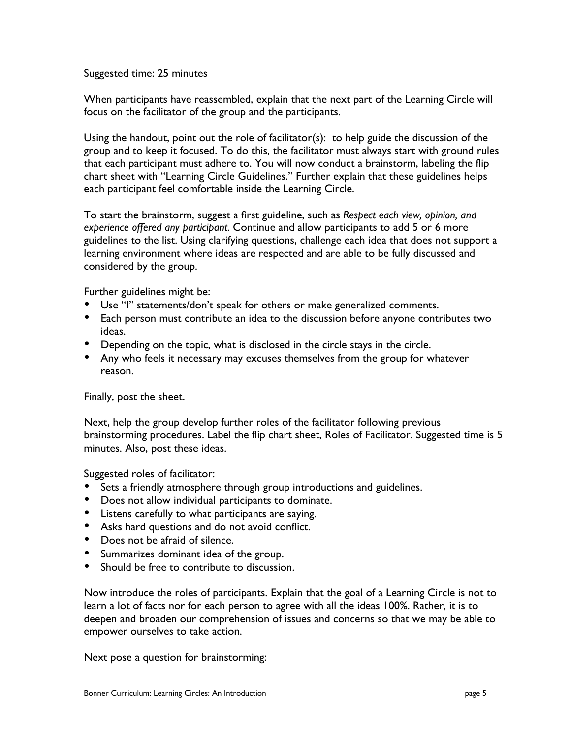Suggested time: 25 minutes

When participants have reassembled, explain that the next part of the Learning Circle will focus on the facilitator of the group and the participants.

Using the handout, point out the role of facilitator(s): to help guide the discussion of the group and to keep it focused. To do this, the facilitator must always start with ground rules that each participant must adhere to. You will now conduct a brainstorm, labeling the flip chart sheet with "Learning Circle Guidelines." Further explain that these guidelines helps each participant feel comfortable inside the Learning Circle.

To start the brainstorm, suggest a first guideline, such as *Respect each view, opinion, and experience offered any participant.* Continue and allow participants to add 5 or 6 more guidelines to the list. Using clarifying questions, challenge each idea that does not support a learning environment where ideas are respected and are able to be fully discussed and considered by the group.

Further guidelines might be:

Use "I" statements/don't speak for others or make generalized comments. Each person must contribute an idea to the discussion before anyone contributes two ideas.

Depending on the topic, what is disclosed in the circle stays in the circle. Any who feels it necessary may excuses themselves from the group for whatever reason.

Finally, post the sheet.

Next, help the group develop further roles of the facilitator following previous brainstorming procedures. Label the flip chart sheet, Roles of Facilitator. Suggested time is 5 minutes. Also, post these ideas.

Suggested roles of facilitator:

Sets a friendly atmosphere through group introductions and guidelines.

Does not allow individual participants to dominate.

Listens carefully to what participants are saying.

Asks hard questions and do not avoid conflict.

Does not be afraid of silence.

Summarizes dominant idea of the group.

Should be free to contribute to discussion.

Now introduce the roles of participants. Explain that the goal of a Learning Circle is not to learn a lot of facts nor for each person to agree with all the ideas 100%. Rather, it is to deepen and broaden our comprehension of issues and concerns so that we may be able to empower ourselves to take action.

Next pose a question for brainstorming: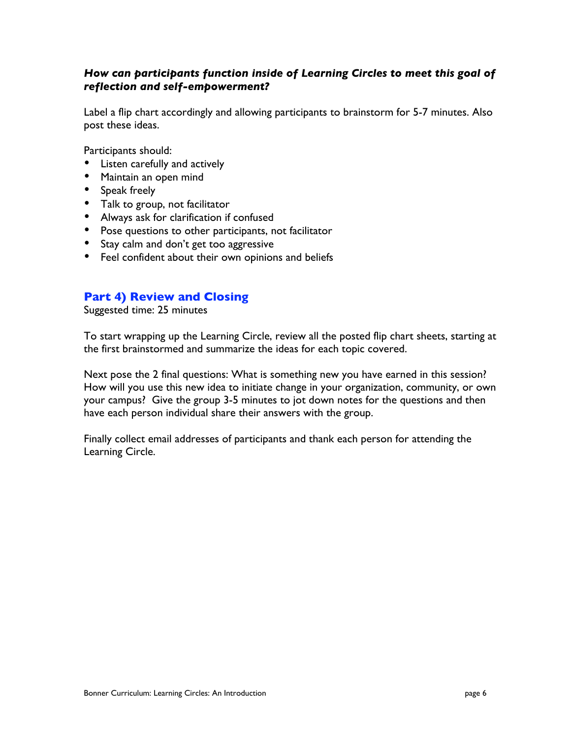#### *How can participants function inside of Learning Circles to meet this goal of reflection and self-empowerment?*

Label a flip chart accordingly and allowing participants to brainstorm for 5-7 minutes. Also post these ideas.

Participants should: Listen carefully and actively Maintain an open mind Speak freely Talk to group, not facilitator Always ask for clarification if confused Pose questions to other participants, not facilitator Stay calm and don't get too aggressive Feel confident about their own opinions and beliefs

#### **Part 4) Review and Closing**

Suggested time: 25 minutes

To start wrapping up the Learning Circle, review all the posted flip chart sheets, starting at the first brainstormed and summarize the ideas for each topic covered.

Next pose the 2 final questions: What is something new you have earned in this session? How will you use this new idea to initiate change in your organization, community, or own your campus? Give the group 3-5 minutes to jot down notes for the questions and then have each person individual share their answers with the group.

Finally collect email addresses of participants and thank each person for attending the Learning Circle.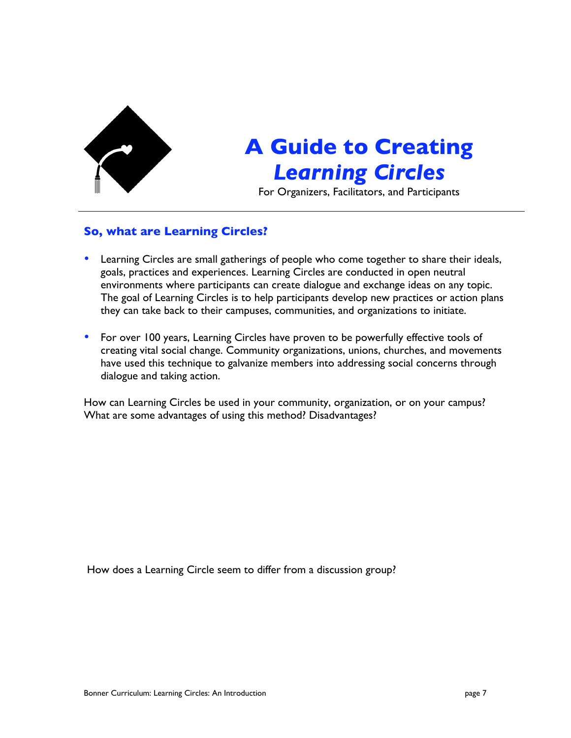

## **A Guide to Creating** *Learning Circles*

For Organizers, Facilitators, and Participants

#### **So, what are Learning Circles?**

Learning Circles are small gatherings of people who come together to share their ideals, goals, practices and experiences. Learning Circles are conducted in open neutral environments where participants can create dialogue and exchange ideas on any topic. The goal of Learning Circles is to help participants develop new practices or action plans they can take back to their campuses, communities, and organizations to initiate.

For over 100 years, Learning Circles have proven to be powerfully effective tools of creating vital social change. Community organizations, unions, churches, and movements have used this technique to galvanize members into addressing social concerns through dialogue and taking action.

How can Learning Circles be used in your community, organization, or on your campus? What are some advantages of using this method? Disadvantages?

How does a Learning Circle seem to differ from a discussion group?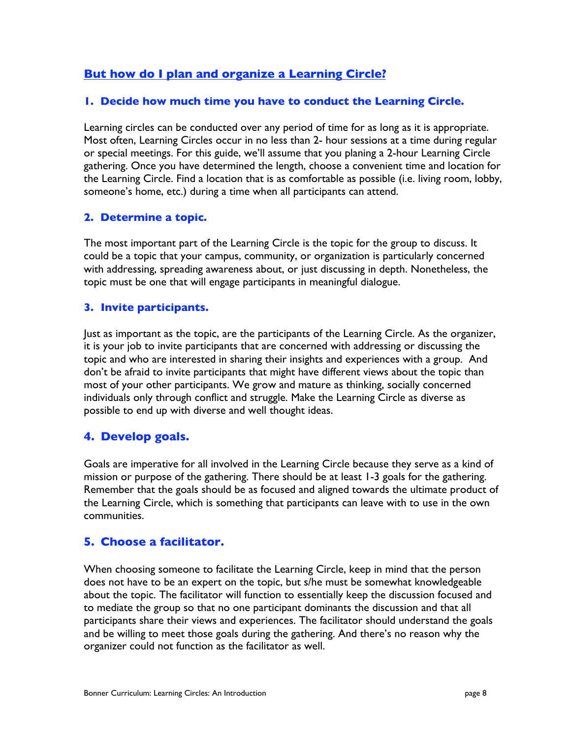#### **But how do I plan and organize a Learning Circle?**

#### **1. Decide how much time you have to conduct the Learning Circle.**

Learning circles can be conducted over any period of time for as long as it is appropriate. Most often, Learning Circles occur in no less than 2- hour sessions at a time during regular or special meetings. For this guide, we'll assume that you planing a 2-hour Learning Circle gathering. Once you have determined the length, choose a convenient time and location for the Learning Circle. Find a location that is as comfortable as possible (i.e. living room, lobby, someone's home, etc.) during a time when all participants can attend.

#### **2. Determine a topic.**

The most important part of the Learning Circle is the topic for the group to discuss. It could be a topic that your campus, community, or organization is particularly concerned with addressing, spreading awareness about, or just discussing in depth. Nonetheless, the topic must be one that will engage participants in meaningful dialogue.

#### **3. Invite participants.**

Just as important as the topic, are the participants of the Learning Circle. As the organizer, it is your job to invite participants that are concerned with addressing or discussing the topic and who are interested in sharing their insights and experiences with a group. And don't be afraid to invite participants that might have different views about the topic than most of your other participants. We grow and mature as thinking, socially concerned individuals only through conflict and struggle. Make the Learning Circle as diverse as possible to end up with diverse and well thought ideas.

#### **4. Develop goals.**

Goals are imperative for all involved in the Learning Circle because they serve as a kind of mission or purpose of the gathering. There should be at least 1-3 goals for the gathering. Remember that the goals should be as focused and aligned towards the ultimate product of the Learning Circle, which is something that participants can leave with to use in the own communities.

#### **5. Choose a facilitator.**

When choosing someone to facilitate the Learning Circle, keep in mind that the person does not have to be an expert on the topic, but s/he must be somewhat knowledgeable about the topic. The facilitator will function to essentially keep the discussion focused and to mediate the group so that no one participant dominants the discussion and that all participants share their views and experiences. The facilitator should understand the goals and be willing to meet those goals during the gathering. And there's no reason why the organizer could not function as the facilitator as well.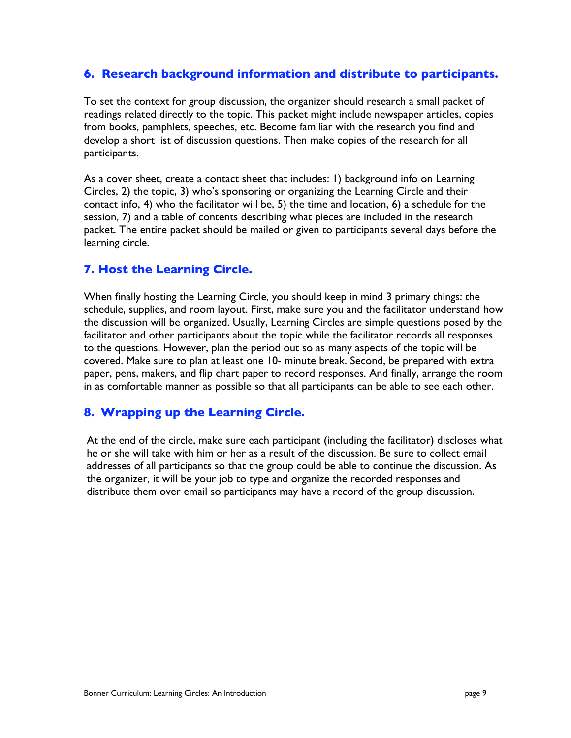#### **6. Research background information and distribute to participants.**

To set the context for group discussion, the organizer should research a small packet of readings related directly to the topic. This packet might include newspaper articles, copies from books, pamphlets, speeches, etc. Become familiar with the research you find and develop a short list of discussion questions. Then make copies of the research for all participants.

As a cover sheet, create a contact sheet that includes: 1) background info on Learning Circles, 2) the topic, 3) who's sponsoring or organizing the Learning Circle and their contact info, 4) who the facilitator will be, 5) the time and location, 6) a schedule for the session, 7) and a table of contents describing what pieces are included in the research packet. The entire packet should be mailed or given to participants several days before the learning circle.

#### **7. Host the Learning Circle.**

When finally hosting the Learning Circle, you should keep in mind 3 primary things: the schedule, supplies, and room layout. First, make sure you and the facilitator understand how the discussion will be organized. Usually, Learning Circles are simple questions posed by the facilitator and other participants about the topic while the facilitator records all responses to the questions. However, plan the period out so as many aspects of the topic will be covered. Make sure to plan at least one 10- minute break. Second, be prepared with extra paper, pens, makers, and flip chart paper to record responses. And finally, arrange the room in as comfortable manner as possible so that all participants can be able to see each other.

#### **8. Wrapping up the Learning Circle.**

At the end of the circle, make sure each participant (including the facilitator) discloses what he or she will take with him or her as a result of the discussion. Be sure to collect email addresses of all participants so that the group could be able to continue the discussion. As the organizer, it will be your job to type and organize the recorded responses and distribute them over email so participants may have a record of the group discussion.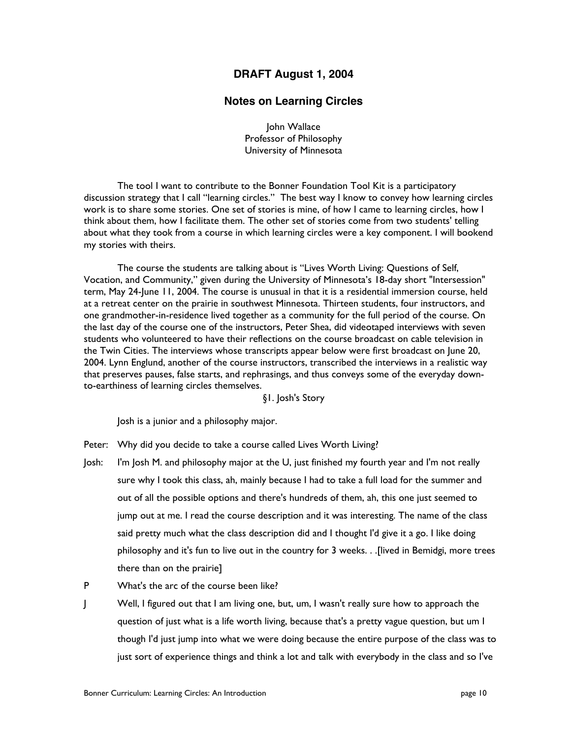#### **DRAFT August 1, 2004**

#### **Notes on Learning Circles**

John Wallace Professor of Philosophy University of Minnesota

The tool I want to contribute to the Bonner Foundation Tool Kit is a participatory discussion strategy that I call "learning circles." The best way I know to convey how learning circles work is to share some stories. One set of stories is mine, of how I came to learning circles, how I think about them, how I facilitate them. The other set of stories come from two students' telling about what they took from a course in which learning circles were a key component. I will bookend my stories with theirs.

The course the students are talking about is "Lives Worth Living: Questions of Self, Vocation, and Community," given during the University of Minnesota's 18-day short "Intersession" term, May 24-June 11, 2004. The course is unusual in that it is a residential immersion course, held at a retreat center on the prairie in southwest Minnesota. Thirteen students, four instructors, and one grandmother-in-residence lived together as a community for the full period of the course. On the last day of the course one of the instructors, Peter Shea, did videotaped interviews with seven students who volunteered to have their reflections on the course broadcast on cable television in the Twin Cities. The interviews whose transcripts appear below were first broadcast on June 20, 2004. Lynn Englund, another of the course instructors, transcribed the interviews in a realistic way that preserves pauses, false starts, and rephrasings, and thus conveys some of the everyday downto-earthiness of learning circles themselves.

#### §1. Josh's Story

Josh is a junior and a philosophy major.

- Peter: Why did you decide to take a course called Lives Worth Living?
- Josh: I'm Josh M. and philosophy major at the U, just finished my fourth year and I'm not really sure why I took this class, ah, mainly because I had to take a full load for the summer and out of all the possible options and there's hundreds of them, ah, this one just seemed to jump out at me. I read the course description and it was interesting. The name of the class said pretty much what the class description did and I thought I'd give it a go. I like doing philosophy and it's fun to live out in the country for 3 weeks. . .[lived in Bemidgi, more trees there than on the prairie]
- P What's the arc of the course been like?
- J Well, I figured out that I am living one, but, um, I wasn't really sure how to approach the question of just what is a life worth living, because that's a pretty vague question, but um I though I'd just jump into what we were doing because the entire purpose of the class was to just sort of experience things and think a lot and talk with everybody in the class and so I've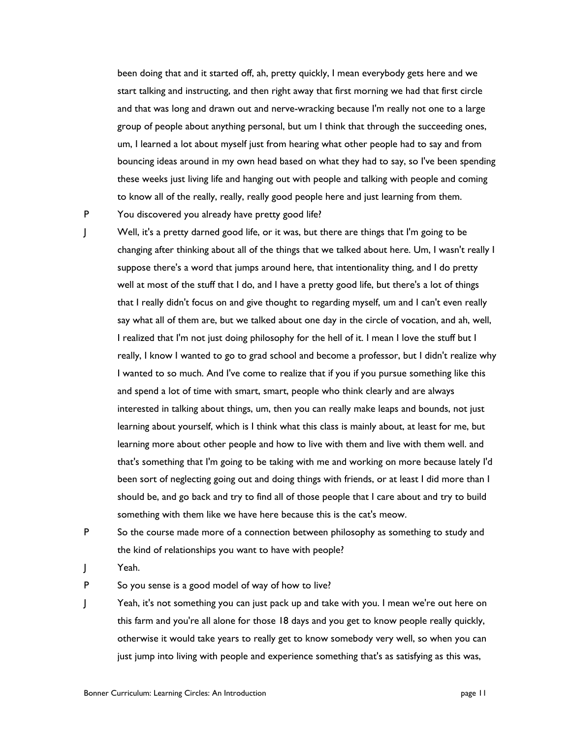been doing that and it started off, ah, pretty quickly, I mean everybody gets here and we start talking and instructing, and then right away that first morning we had that first circle and that was long and drawn out and nerve-wracking because I'm really not one to a large group of people about anything personal, but um I think that through the succeeding ones, um, I learned a lot about myself just from hearing what other people had to say and from bouncing ideas around in my own head based on what they had to say, so I've been spending these weeks just living life and hanging out with people and talking with people and coming to know all of the really, really, really good people here and just learning from them.

P You discovered you already have pretty good life?

J Well, it's a pretty darned good life, or it was, but there are things that I'm going to be changing after thinking about all of the things that we talked about here. Um, I wasn't really I suppose there's a word that jumps around here, that intentionality thing, and I do pretty well at most of the stuff that I do, and I have a pretty good life, but there's a lot of things that I really didn't focus on and give thought to regarding myself, um and I can't even really say what all of them are, but we talked about one day in the circle of vocation, and ah, well, I realized that I'm not just doing philosophy for the hell of it. I mean I love the stuff but I really, I know I wanted to go to grad school and become a professor, but I didn't realize why I wanted to so much. And I've come to realize that if you if you pursue something like this and spend a lot of time with smart, smart, people who think clearly and are always interested in talking about things, um, then you can really make leaps and bounds, not just learning about yourself, which is I think what this class is mainly about, at least for me, but learning more about other people and how to live with them and live with them well. and that's something that I'm going to be taking with me and working on more because lately I'd been sort of neglecting going out and doing things with friends, or at least I did more than I should be, and go back and try to find all of those people that I care about and try to build something with them like we have here because this is the cat's meow.

- P So the course made more of a connection between philosophy as something to study and the kind of relationships you want to have with people?
- J Yeah.

P So you sense is a good model of way of how to live?

J Yeah, it's not something you can just pack up and take with you. I mean we're out here on this farm and you're all alone for those 18 days and you get to know people really quickly, otherwise it would take years to really get to know somebody very well, so when you can just jump into living with people and experience something that's as satisfying as this was,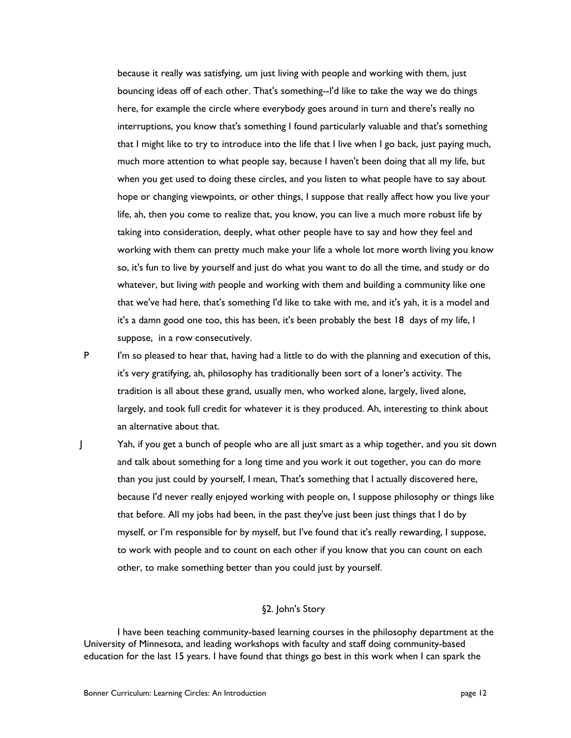because it really was satisfying, um just living with people and working with them, just bouncing ideas off of each other. That's something--I'd like to take the way we do things here, for example the circle where everybody goes around in turn and there's really no interruptions, you know that's something I found particularly valuable and that's something that I might like to try to introduce into the life that I live when I go back, just paying much, much more attention to what people say, because I haven't been doing that all my life, but when you get used to doing these circles, and you listen to what people have to say about hope or changing viewpoints, or other things, I suppose that really affect how you live your life, ah, then you come to realize that, you know, you can live a much more robust life by taking into consideration, deeply, what other people have to say and how they feel and working with them can pretty much make your life a whole lot more worth living you know so, it's fun to live by yourself and just do what you want to do all the time, and study or do whatever, but living *with* people and working with them and building a community like one that we've had here, that's something I'd like to take with me, and it's yah, it is a model and it's a damn good one too, this has been, it's been probably the best 18 days of my life, I suppose, in a row consecutively.

P I'm so pleased to hear that, having had a little to do with the planning and execution of this, it's very gratifying, ah, philosophy has traditionally been sort of a loner's activity. The tradition is all about these grand, usually men, who worked alone, largely, lived alone, largely, and took full credit for whatever it is they produced. Ah, interesting to think about an alternative about that.

J Yah, if you get a bunch of people who are all just smart as a whip together, and you sit down and talk about something for a long time and you work it out together, you can do more than you just could by yourself, I mean, That's something that I actually discovered here, because I'd never really enjoyed working with people on, I suppose philosophy or things like that before. All my jobs had been, in the past they've just been just things that I do by myself, or I'm responsible for by myself, but I've found that it's really rewarding, I suppose, to work with people and to count on each other if you know that you can count on each other, to make something better than you could just by yourself.

#### §2. John's Story

I have been teaching community-based learning courses in the philosophy department at the University of Minnesota, and leading workshops with faculty and staff doing community-based education for the last 15 years. I have found that things go best in this work when I can spark the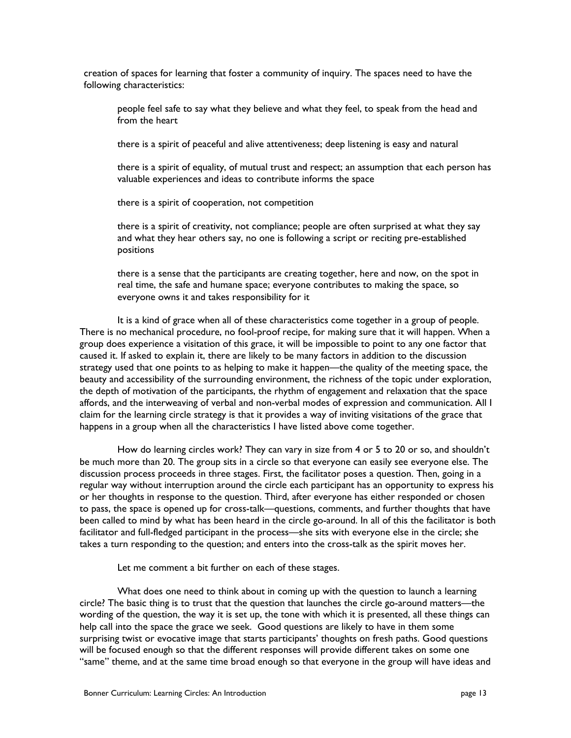creation of spaces for learning that foster a community of inquiry. The spaces need to have the following characteristics:

people feel safe to say what they believe and what they feel, to speak from the head and from the heart

there is a spirit of peaceful and alive attentiveness; deep listening is easy and natural

there is a spirit of equality, of mutual trust and respect; an assumption that each person has valuable experiences and ideas to contribute informs the space

there is a spirit of cooperation, not competition

there is a spirit of creativity, not compliance; people are often surprised at what they say and what they hear others say, no one is following a script or reciting pre-established positions

there is a sense that the participants are creating together, here and now, on the spot in real time, the safe and humane space; everyone contributes to making the space, so everyone owns it and takes responsibility for it

It is a kind of grace when all of these characteristics come together in a group of people. There is no mechanical procedure, no fool-proof recipe, for making sure that it will happen. When a group does experience a visitation of this grace, it will be impossible to point to any one factor that caused it. If asked to explain it, there are likely to be many factors in addition to the discussion strategy used that one points to as helping to make it happen—the quality of the meeting space, the beauty and accessibility of the surrounding environment, the richness of the topic under exploration, the depth of motivation of the participants, the rhythm of engagement and relaxation that the space affords, and the interweaving of verbal and non-verbal modes of expression and communication. All I claim for the learning circle strategy is that it provides a way of inviting visitations of the grace that happens in a group when all the characteristics I have listed above come together.

How do learning circles work? They can vary in size from 4 or 5 to 20 or so, and shouldn't be much more than 20. The group sits in a circle so that everyone can easily see everyone else. The discussion process proceeds in three stages. First, the facilitator poses a question. Then, going in a regular way without interruption around the circle each participant has an opportunity to express his or her thoughts in response to the question. Third, after everyone has either responded or chosen to pass, the space is opened up for cross-talk—questions, comments, and further thoughts that have been called to mind by what has been heard in the circle go-around. In all of this the facilitator is both facilitator and full-fledged participant in the process—she sits with everyone else in the circle; she takes a turn responding to the question; and enters into the cross-talk as the spirit moves her.

Let me comment a bit further on each of these stages.

What does one need to think about in coming up with the question to launch a learning circle? The basic thing is to trust that the question that launches the circle go-around matters—the wording of the question, the way it is set up, the tone with which it is presented, all these things can help call into the space the grace we seek. Good questions are likely to have in them some surprising twist or evocative image that starts participants' thoughts on fresh paths. Good questions will be focused enough so that the different responses will provide different takes on some one "same" theme, and at the same time broad enough so that everyone in the group will have ideas and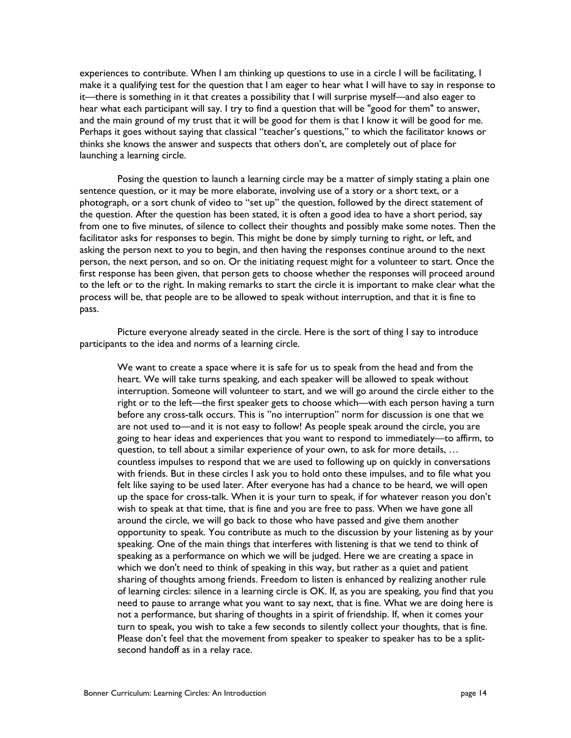experiences to contribute. When I am thinking up questions to use in a circle I will be facilitating, I make it a qualifying test for the question that I am eager to hear what I will have to say in response to it—there is something in it that creates a possibility that I will surprise myself—and also eager to hear what each participant will say. I try to find a question that will be "good for them" to answer, and the main ground of my trust that it will be good for them is that I know it will be good for me. Perhaps it goes without saying that classical "teacher's questions," to which the facilitator knows or thinks she knows the answer and suspects that others don't, are completely out of place for launching a learning circle.

Posing the question to launch a learning circle may be a matter of simply stating a plain one sentence question, or it may be more elaborate, involving use of a story or a short text, or a photograph, or a sort chunk of video to "set up" the question, followed by the direct statement of the question. After the question has been stated, it is often a good idea to have a short period, say from one to five minutes, of silence to collect their thoughts and possibly make some notes. Then the facilitator asks for responses to begin. This might be done by simply turning to right, or left, and asking the person next to you to begin, and then having the responses continue around to the next person, the next person, and so on. Or the initiating request might for a volunteer to start. Once the first response has been given, that person gets to choose whether the responses will proceed around to the left or to the right. In making remarks to start the circle it is important to make clear what the process will be, that people are to be allowed to speak without interruption, and that it is fine to pass.

Picture everyone already seated in the circle. Here is the sort of thing I say to introduce participants to the idea and norms of a learning circle.

We want to create a space where it is safe for us to speak from the head and from the heart. We will take turns speaking, and each speaker will be allowed to speak without interruption. Someone will volunteer to start, and we will go around the circle either to the right or to the left—the first speaker gets to choose which—with each person having a turn before any cross-talk occurs. This is "no interruption" norm for discussion is one that we are not used to—and it is not easy to follow! As people speak around the circle, you are going to hear ideas and experiences that you want to respond to immediately—to affirm, to question, to tell about a similar experience of your own, to ask for more details, … countless impulses to respond that we are used to following up on quickly in conversations with friends. But in these circles I ask you to hold onto these impulses, and to file what you felt like saying to be used later. After everyone has had a chance to be heard, we will open up the space for cross-talk. When it is your turn to speak, if for whatever reason you don't wish to speak at that time, that is fine and you are free to pass. When we have gone all around the circle, we will go back to those who have passed and give them another opportunity to speak. You contribute as much to the discussion by your listening as by your speaking. One of the main things that interferes with listening is that we tend to think of speaking as a performance on which we will be judged. Here we are creating a space in which we don't need to think of speaking in this way, but rather as a quiet and patient sharing of thoughts among friends. Freedom to listen is enhanced by realizing another rule of learning circles: silence in a learning circle is OK. If, as you are speaking, you find that you need to pause to arrange what you want to say next, that is fine. What we are doing here is not a performance, but sharing of thoughts in a spirit of friendship. If, when it comes your turn to speak, you wish to take a few seconds to silently collect your thoughts, that is fine. Please don't feel that the movement from speaker to speaker to speaker has to be a splitsecond handoff as in a relay race.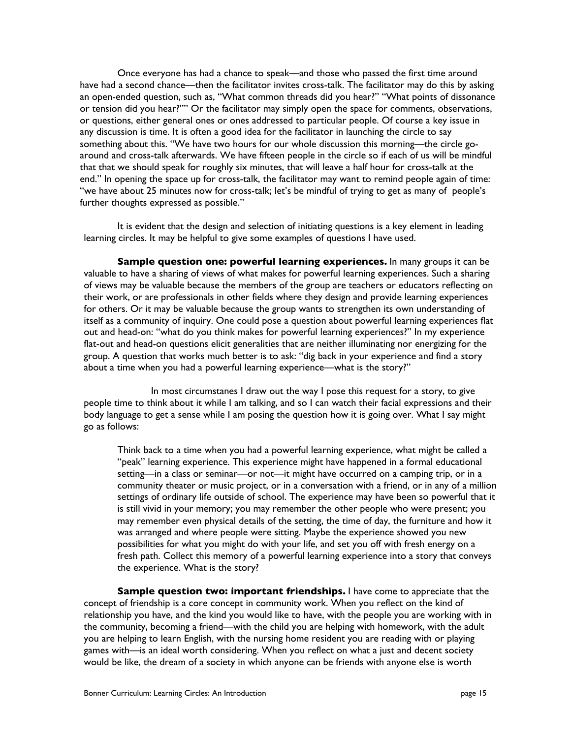Once everyone has had a chance to speak—and those who passed the first time around have had a second chance—then the facilitator invites cross-talk. The facilitator may do this by asking an open-ended question, such as, "What common threads did you hear?" "What points of dissonance or tension did you hear?"" Or the facilitator may simply open the space for comments, observations, or questions, either general ones or ones addressed to particular people. Of course a key issue in any discussion is time. It is often a good idea for the facilitator in launching the circle to say something about this. "We have two hours for our whole discussion this morning—the circle goaround and cross-talk afterwards. We have fifteen people in the circle so if each of us will be mindful that that we should speak for roughly six minutes, that will leave a half hour for cross-talk at the end." In opening the space up for cross-talk, the facilitator may want to remind people again of time: "we have about 25 minutes now for cross-talk; let's be mindful of trying to get as many of people's further thoughts expressed as possible."

It is evident that the design and selection of initiating questions is a key element in leading learning circles. It may be helpful to give some examples of questions I have used.

**Sample question one: powerful learning experiences.** In many groups it can be valuable to have a sharing of views of what makes for powerful learning experiences. Such a sharing of views may be valuable because the members of the group are teachers or educators reflecting on their work, or are professionals in other fields where they design and provide learning experiences for others. Or it may be valuable because the group wants to strengthen its own understanding of itself as a community of inquiry. One could pose a question about powerful learning experiences flat out and head-on: "what do you think makes for powerful learning experiences?" In my experience flat-out and head-on questions elicit generalities that are neither illuminating nor energizing for the group. A question that works much better is to ask: "dig back in your experience and find a story about a time when you had a powerful learning experience—what is the story?"

In most circumstanes I draw out the way I pose this request for a story, to give people time to think about it while I am talking, and so I can watch their facial expressions and their body language to get a sense while I am posing the question how it is going over. What I say might go as follows:

Think back to a time when you had a powerful learning experience, what might be called a "peak" learning experience. This experience might have happened in a formal educational setting—in a class or seminar—or not—it might have occurred on a camping trip, or in a community theater or music project, or in a conversation with a friend, or in any of a million settings of ordinary life outside of school. The experience may have been so powerful that it is still vivid in your memory; you may remember the other people who were present; you may remember even physical details of the setting, the time of day, the furniture and how it was arranged and where people were sitting. Maybe the experience showed you new possibilities for what you might do with your life, and set you off with fresh energy on a fresh path. Collect this memory of a powerful learning experience into a story that conveys the experience. What is the story?

**Sample question two: important friendships.** I have come to appreciate that the concept of friendship is a core concept in community work. When you reflect on the kind of relationship you have, and the kind you would like to have, with the people you are working with in the community, becoming a friend—with the child you are helping with homework, with the adult you are helping to learn English, with the nursing home resident you are reading with or playing games with—is an ideal worth considering. When you reflect on what a just and decent society would be like, the dream of a society in which anyone can be friends with anyone else is worth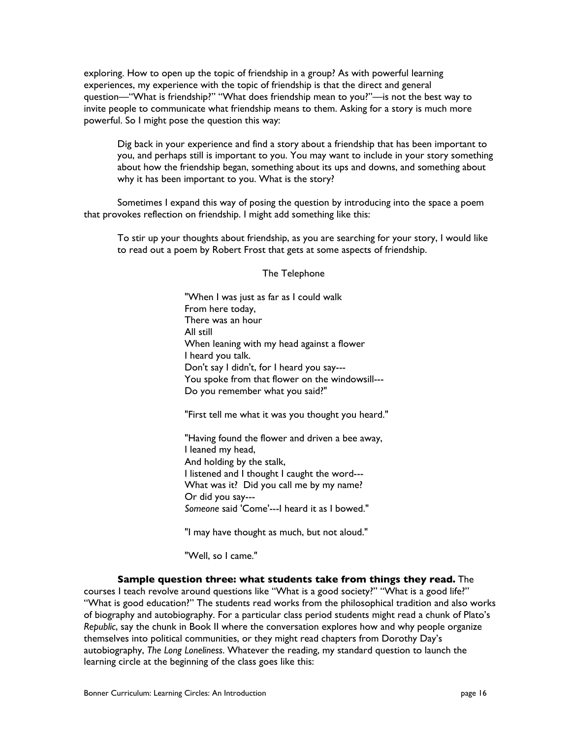exploring. How to open up the topic of friendship in a group? As with powerful learning experiences, my experience with the topic of friendship is that the direct and general question—"What is friendship?" "What does friendship mean to you?"—is not the best way to invite people to communicate what friendship means to them. Asking for a story is much more powerful. So I might pose the question this way:

Dig back in your experience and find a story about a friendship that has been important to you, and perhaps still is important to you. You may want to include in your story something about how the friendship began, something about its ups and downs, and something about why it has been important to you. What is the story?

Sometimes I expand this way of posing the question by introducing into the space a poem that provokes reflection on friendship. I might add something like this:

To stir up your thoughts about friendship, as you are searching for your story, I would like to read out a poem by Robert Frost that gets at some aspects of friendship.

#### The Telephone

"When I was just as far as I could walk From here today, There was an hour All still When leaning with my head against a flower I heard you talk. Don't say I didn't, for I heard you say--- You spoke from that flower on the windowsill--- Do you remember what you said?"

"First tell me what it was you thought you heard."

"Having found the flower and driven a bee away, I leaned my head, And holding by the stalk, I listened and I thought I caught the word--- What was it? Did you call me by my name? Or did you say--- *Someone* said 'Come'---I heard it as I bowed."

"I may have thought as much, but not aloud."

"Well, so I came."

**Sample question three: what students take from things they read.** The courses I teach revolve around questions like "What is a good society?" "What is a good life?" "What is good education?" The students read works from the philosophical tradition and also works of biography and autobiography. For a particular class period students might read a chunk of Plato's *Republic*, say the chunk in Book II where the conversation explores how and why people organize themselves into political communities, or they might read chapters from Dorothy Day's autobiography, *The Long Loneliness*. Whatever the reading, my standard question to launch the learning circle at the beginning of the class goes like this: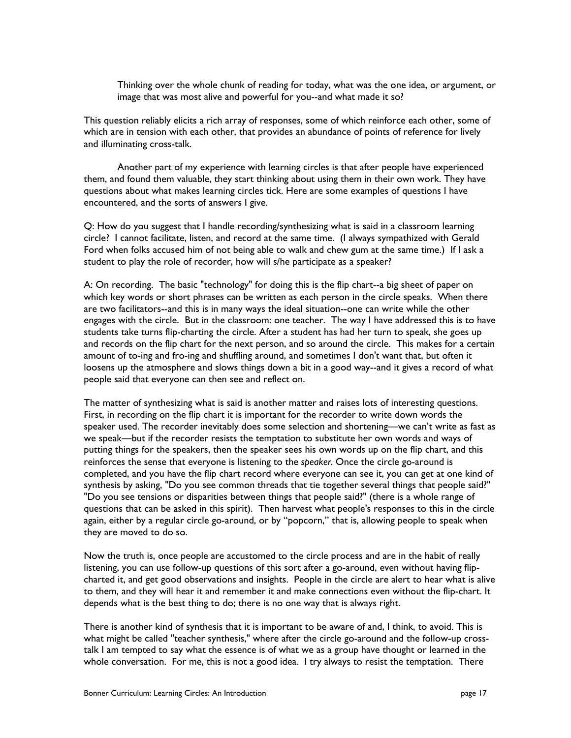Thinking over the whole chunk of reading for today, what was the one idea, or argument, or image that was most alive and powerful for you--and what made it so?

This question reliably elicits a rich array of responses, some of which reinforce each other, some of which are in tension with each other, that provides an abundance of points of reference for lively and illuminating cross-talk.

Another part of my experience with learning circles is that after people have experienced them, and found them valuable, they start thinking about using them in their own work. They have questions about what makes learning circles tick. Here are some examples of questions I have encountered, and the sorts of answers I give.

Q: How do you suggest that I handle recording/synthesizing what is said in a classroom learning circle? I cannot facilitate, listen, and record at the same time. (I always sympathized with Gerald Ford when folks accused him of not being able to walk and chew gum at the same time.) If I ask a student to play the role of recorder, how will s/he participate as a speaker?

A: On recording. The basic "technology" for doing this is the flip chart--a big sheet of paper on which key words or short phrases can be written as each person in the circle speaks. When there are two facilitators--and this is in many ways the ideal situation--one can write while the other engages with the circle. But in the classroom: one teacher. The way I have addressed this is to have students take turns flip-charting the circle. After a student has had her turn to speak, she goes up and records on the flip chart for the next person, and so around the circle. This makes for a certain amount of to-ing and fro-ing and shuffling around, and sometimes I don't want that, but often it loosens up the atmosphere and slows things down a bit in a good way--and it gives a record of what people said that everyone can then see and reflect on.

The matter of synthesizing what is said is another matter and raises lots of interesting questions. First, in recording on the flip chart it is important for the recorder to write down words the speaker used. The recorder inevitably does some selection and shortening—we can't write as fast as we speak—but if the recorder resists the temptation to substitute her own words and ways of putting things for the speakers, then the speaker sees his own words up on the flip chart, and this reinforces the sense that everyone is listening to the *speaker.* Once the circle go-around is completed, and you have the flip chart record where everyone can see it, you can get at one kind of synthesis by asking, "Do you see common threads that tie together several things that people said?" "Do you see tensions or disparities between things that people said?" (there is a whole range of questions that can be asked in this spirit). Then harvest what people's responses to this in the circle again, either by a regular circle go-around, or by "popcorn," that is, allowing people to speak when they are moved to do so.

Now the truth is, once people are accustomed to the circle process and are in the habit of really listening, you can use follow-up questions of this sort after a go-around, even without having flipcharted it, and get good observations and insights. People in the circle are alert to hear what is alive to them, and they will hear it and remember it and make connections even without the flip-chart. It depends what is the best thing to do; there is no one way that is always right.

There is another kind of synthesis that it is important to be aware of and, I think, to avoid. This is what might be called "teacher synthesis," where after the circle go-around and the follow-up crosstalk I am tempted to say what the essence is of what we as a group have thought or learned in the whole conversation. For me, this is not a good idea. I try always to resist the temptation. There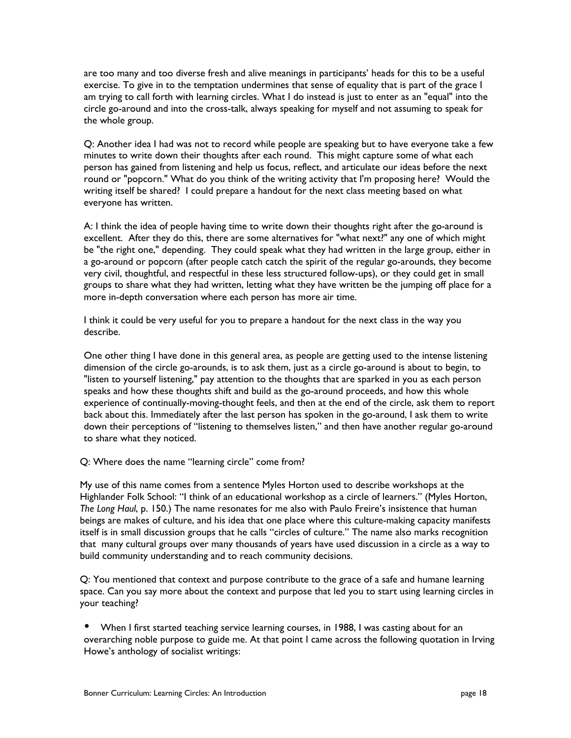are too many and too diverse fresh and alive meanings in participants' heads for this to be a useful exercise. To give in to the temptation undermines that sense of equality that is part of the grace I am trying to call forth with learning circles. What I do instead is just to enter as an "equal" into the circle go-around and into the cross-talk, always speaking for myself and not assuming to speak for the whole group.

Q: Another idea I had was not to record while people are speaking but to have everyone take a few minutes to write down their thoughts after each round. This might capture some of what each person has gained from listening and help us focus, reflect, and articulate our ideas before the next round or "popcorn." What do you think of the writing activity that I'm proposing here? Would the writing itself be shared? I could prepare a handout for the next class meeting based on what everyone has written.

A: I think the idea of people having time to write down their thoughts right after the go-around is excellent. After they do this, there are some alternatives for "what next?" any one of which might be "the right one," depending. They could speak what they had written in the large group, either in a go-around or popcorn (after people catch catch the spirit of the regular go-arounds, they become very civil, thoughtful, and respectful in these less structured follow-ups), or they could get in small groups to share what they had written, letting what they have written be the jumping off place for a more in-depth conversation where each person has more air time.

I think it could be very useful for you to prepare a handout for the next class in the way you describe.

One other thing I have done in this general area, as people are getting used to the intense listening dimension of the circle go-arounds, is to ask them, just as a circle go-around is about to begin, to "listen to yourself listening," pay attention to the thoughts that are sparked in you as each person speaks and how these thoughts shift and build as the go-around proceeds, and how this whole experience of continually-moving-thought feels, and then at the end of the circle, ask them to report back about this. Immediately after the last person has spoken in the go-around, I ask them to write down their perceptions of "listening to themselves listen," and then have another regular go-around to share what they noticed.

Q: Where does the name "learning circle" come from?

My use of this name comes from a sentence Myles Horton used to describe workshops at the Highlander Folk School: "I think of an educational workshop as a circle of learners." (Myles Horton, *The Long Haul*, p. 150.) The name resonates for me also with Paulo Freire's insistence that human beings are makes of culture, and his idea that one place where this culture-making capacity manifests itself is in small discussion groups that he calls "circles of culture." The name also marks recognition that many cultural groups over many thousands of years have used discussion in a circle as a way to build community understanding and to reach community decisions.

Q: You mentioned that context and purpose contribute to the grace of a safe and humane learning space. Can you say more about the context and purpose that led you to start using learning circles in your teaching?

When I first started teaching service learning courses, in 1988, I was casting about for an overarching noble purpose to guide me. At that point I came across the following quotation in Irving Howe's anthology of socialist writings: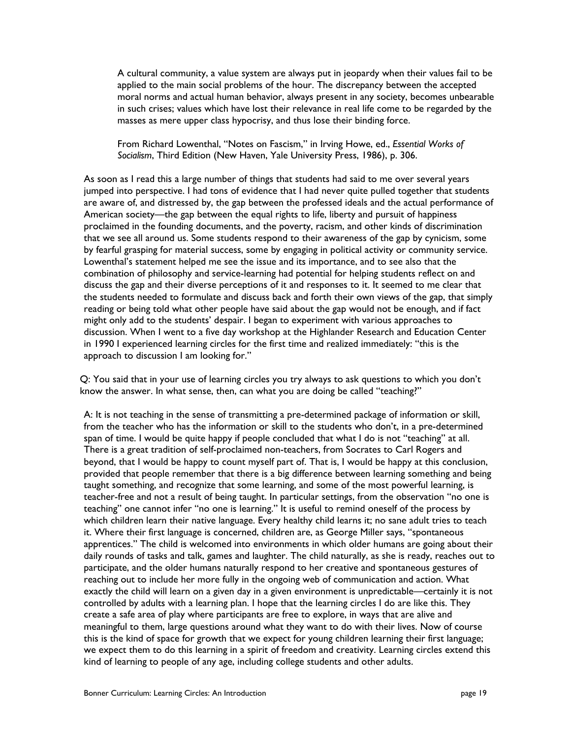A cultural community, a value system are always put in jeopardy when their values fail to be applied to the main social problems of the hour. The discrepancy between the accepted moral norms and actual human behavior, always present in any society, becomes unbearable in such crises; values which have lost their relevance in real life come to be regarded by the masses as mere upper class hypocrisy, and thus lose their binding force.

From Richard Lowenthal, "Notes on Fascism," in Irving Howe, ed., *Essential Works of Socialism*, Third Edition (New Haven, Yale University Press, 1986), p. 306.

As soon as I read this a large number of things that students had said to me over several years jumped into perspective. I had tons of evidence that I had never quite pulled together that students are aware of, and distressed by, the gap between the professed ideals and the actual performance of American society—the gap between the equal rights to life, liberty and pursuit of happiness proclaimed in the founding documents, and the poverty, racism, and other kinds of discrimination that we see all around us. Some students respond to their awareness of the gap by cynicism, some by fearful grasping for material success, some by engaging in political activity or community service. Lowenthal's statement helped me see the issue and its importance, and to see also that the combination of philosophy and service-learning had potential for helping students reflect on and discuss the gap and their diverse perceptions of it and responses to it. It seemed to me clear that the students needed to formulate and discuss back and forth their own views of the gap, that simply reading or being told what other people have said about the gap would not be enough, and if fact might only add to the students' despair. I began to experiment with various approaches to discussion. When I went to a five day workshop at the Highlander Research and Education Center in 1990 I experienced learning circles for the first time and realized immediately: "this is the approach to discussion I am looking for."

Q: You said that in your use of learning circles you try always to ask questions to which you don't know the answer. In what sense, then, can what you are doing be called "teaching?"

A: It is not teaching in the sense of transmitting a pre-determined package of information or skill, from the teacher who has the information or skill to the students who don't, in a pre-determined span of time. I would be quite happy if people concluded that what I do is not "teaching" at all. There is a great tradition of self-proclaimed non-teachers, from Socrates to Carl Rogers and beyond, that I would be happy to count myself part of. That is, I would be happy at this conclusion, provided that people remember that there is a big difference between learning something and being taught something, and recognize that some learning, and some of the most powerful learning, is teacher-free and not a result of being taught. In particular settings, from the observation "no one is teaching" one cannot infer "no one is learning." It is useful to remind oneself of the process by which children learn their native language. Every healthy child learns it; no sane adult tries to teach it. Where their first language is concerned, children are, as George Miller says, "spontaneous apprentices." The child is welcomed into environments in which older humans are going about their daily rounds of tasks and talk, games and laughter. The child naturally, as she is ready, reaches out to participate, and the older humans naturally respond to her creative and spontaneous gestures of reaching out to include her more fully in the ongoing web of communication and action. What exactly the child will learn on a given day in a given environment is unpredictable—certainly it is not controlled by adults with a learning plan. I hope that the learning circles I do are like this. They create a safe area of play where participants are free to explore, in ways that are alive and meaningful to them, large questions around what they want to do with their lives. Now of course this is the kind of space for growth that we expect for young children learning their first language; we expect them to do this learning in a spirit of freedom and creativity. Learning circles extend this kind of learning to people of any age, including college students and other adults.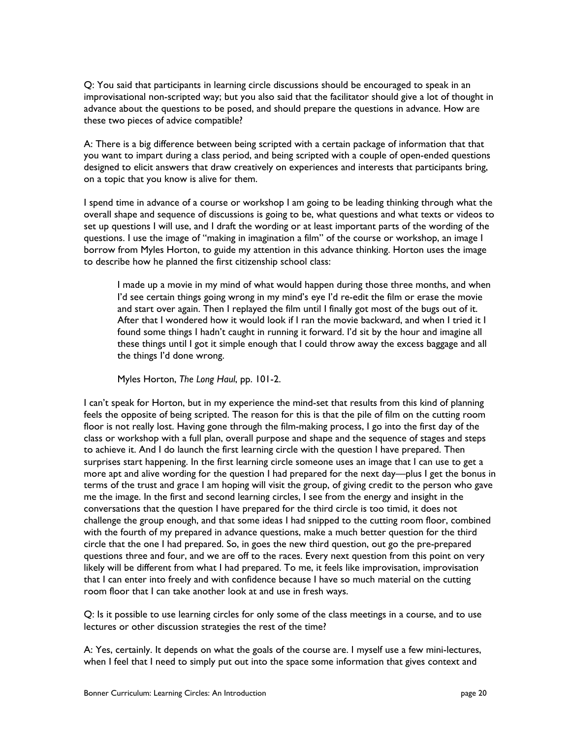Q: You said that participants in learning circle discussions should be encouraged to speak in an improvisational non-scripted way; but you also said that the facilitator should give a lot of thought in advance about the questions to be posed, and should prepare the questions in advance. How are these two pieces of advice compatible?

A: There is a big difference between being scripted with a certain package of information that that you want to impart during a class period, and being scripted with a couple of open-ended questions designed to elicit answers that draw creatively on experiences and interests that participants bring, on a topic that you know is alive for them.

I spend time in advance of a course or workshop I am going to be leading thinking through what the overall shape and sequence of discussions is going to be, what questions and what texts or videos to set up questions I will use, and I draft the wording or at least important parts of the wording of the questions. I use the image of "making in imagination a film" of the course or workshop, an image I borrow from Myles Horton, to guide my attention in this advance thinking. Horton uses the image to describe how he planned the first citizenship school class:

I made up a movie in my mind of what would happen during those three months, and when I'd see certain things going wrong in my mind's eye I'd re-edit the film or erase the movie and start over again. Then I replayed the film until I finally got most of the bugs out of it. After that I wondered how it would look if I ran the movie backward, and when I tried it I found some things I hadn't caught in running it forward. I'd sit by the hour and imagine all these things until I got it simple enough that I could throw away the excess baggage and all the things I'd done wrong.

Myles Horton, *The Long Haul*, pp. 101-2.

I can't speak for Horton, but in my experience the mind-set that results from this kind of planning feels the opposite of being scripted. The reason for this is that the pile of film on the cutting room floor is not really lost. Having gone through the film-making process, I go into the first day of the class or workshop with a full plan, overall purpose and shape and the sequence of stages and steps to achieve it. And I do launch the first learning circle with the question I have prepared. Then surprises start happening. In the first learning circle someone uses an image that I can use to get a more apt and alive wording for the question I had prepared for the next day—plus I get the bonus in terms of the trust and grace I am hoping will visit the group, of giving credit to the person who gave me the image. In the first and second learning circles, I see from the energy and insight in the conversations that the question I have prepared for the third circle is too timid, it does not challenge the group enough, and that some ideas I had snipped to the cutting room floor, combined with the fourth of my prepared in advance questions, make a much better question for the third circle that the one I had prepared. So, in goes the new third question, out go the pre-prepared questions three and four, and we are off to the races. Every next question from this point on very likely will be different from what I had prepared. To me, it feels like improvisation, improvisation that I can enter into freely and with confidence because I have so much material on the cutting room floor that I can take another look at and use in fresh ways.

Q: Is it possible to use learning circles for only some of the class meetings in a course, and to use lectures or other discussion strategies the rest of the time?

A: Yes, certainly. It depends on what the goals of the course are. I myself use a few mini-lectures, when I feel that I need to simply put out into the space some information that gives context and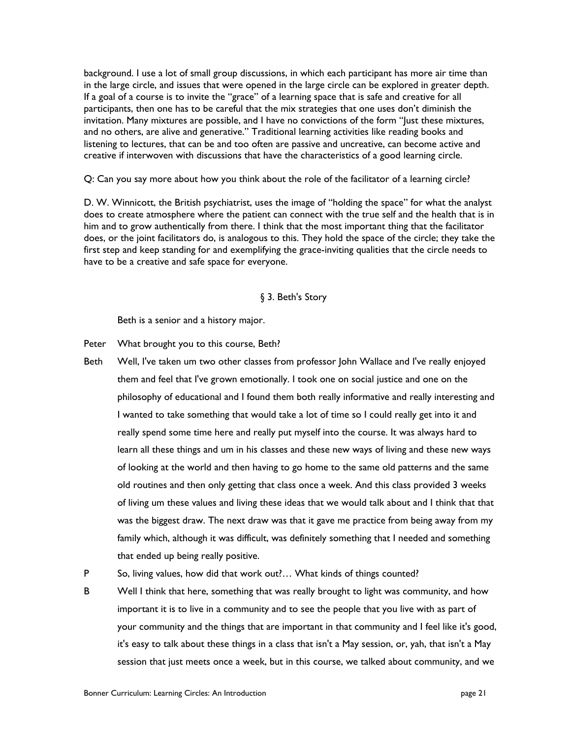background. I use a lot of small group discussions, in which each participant has more air time than in the large circle, and issues that were opened in the large circle can be explored in greater depth. If a goal of a course is to invite the "grace" of a learning space that is safe and creative for all participants, then one has to be careful that the mix strategies that one uses don't diminish the invitation. Many mixtures are possible, and I have no convictions of the form "Just these mixtures, and no others, are alive and generative." Traditional learning activities like reading books and listening to lectures, that can be and too often are passive and uncreative, can become active and creative if interwoven with discussions that have the characteristics of a good learning circle.

Q: Can you say more about how you think about the role of the facilitator of a learning circle?

D. W. Winnicott, the British psychiatrist, uses the image of "holding the space" for what the analyst does to create atmosphere where the patient can connect with the true self and the health that is in him and to grow authentically from there. I think that the most important thing that the facilitator does, or the joint facilitators do, is analogous to this. They hold the space of the circle; they take the first step and keep standing for and exemplifying the grace-inviting qualities that the circle needs to have to be a creative and safe space for everyone.

#### § 3. Beth's Story

Beth is a senior and a history major.

Peter What brought you to this course, Beth?

Beth Well, I've taken um two other classes from professor John Wallace and I've really enjoyed them and feel that I've grown emotionally. I took one on social justice and one on the philosophy of educational and I found them both really informative and really interesting and I wanted to take something that would take a lot of time so I could really get into it and really spend some time here and really put myself into the course. It was always hard to learn all these things and um in his classes and these new ways of living and these new ways of looking at the world and then having to go home to the same old patterns and the same old routines and then only getting that class once a week. And this class provided 3 weeks of living um these values and living these ideas that we would talk about and I think that that was the biggest draw. The next draw was that it gave me practice from being away from my family which, although it was difficult, was definitely something that I needed and something that ended up being really positive.

P So, living values, how did that work out?... What kinds of things counted?

B Well I think that here, something that was really brought to light was community, and how important it is to live in a community and to see the people that you live with as part of your community and the things that are important in that community and I feel like it's good, it's easy to talk about these things in a class that isn't a May session, or, yah, that isn't a May session that just meets once a week, but in this course, we talked about community, and we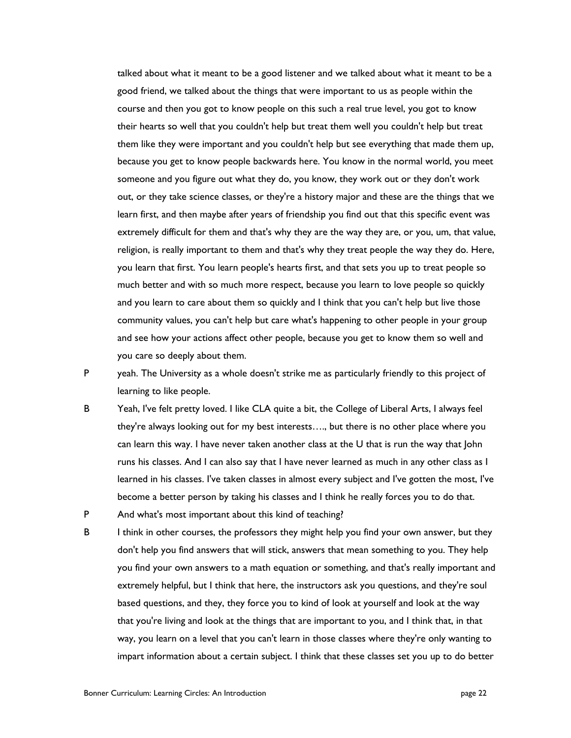talked about what it meant to be a good listener and we talked about what it meant to be a good friend, we talked about the things that were important to us as people within the course and then you got to know people on this such a real true level, you got to know their hearts so well that you couldn't help but treat them well you couldn't help but treat them like they were important and you couldn't help but see everything that made them up, because you get to know people backwards here. You know in the normal world, you meet someone and you figure out what they do, you know, they work out or they don't work out, or they take science classes, or they're a history major and these are the things that we learn first, and then maybe after years of friendship you find out that this specific event was extremely difficult for them and that's why they are the way they are, or you, um, that value, religion, is really important to them and that's why they treat people the way they do. Here, you learn that first. You learn people's hearts first, and that sets you up to treat people so much better and with so much more respect, because you learn to love people so quickly and you learn to care about them so quickly and I think that you can't help but live those community values, you can't help but care what's happening to other people in your group and see how your actions affect other people, because you get to know them so well and you care so deeply about them.

P yeah. The University as a whole doesn't strike me as particularly friendly to this project of learning to like people.

- B Yeah, I've felt pretty loved. I like CLA quite a bit, the College of Liberal Arts, I always feel they're always looking out for my best interests…., but there is no other place where you can learn this way. I have never taken another class at the U that is run the way that John runs his classes. And I can also say that I have never learned as much in any other class as I learned in his classes. I've taken classes in almost every subject and I've gotten the most, I've become a better person by taking his classes and I think he really forces you to do that.
- P And what's most important about this kind of teaching?
- B I think in other courses, the professors they might help you find your own answer, but they don't help you find answers that will stick, answers that mean something to you. They help you find your own answers to a math equation or something, and that's really important and extremely helpful, but I think that here, the instructors ask you questions, and they're soul based questions, and they, they force you to kind of look at yourself and look at the way that you're living and look at the things that are important to you, and I think that, in that way, you learn on a level that you can't learn in those classes where they're only wanting to impart information about a certain subject. I think that these classes set you up to do better